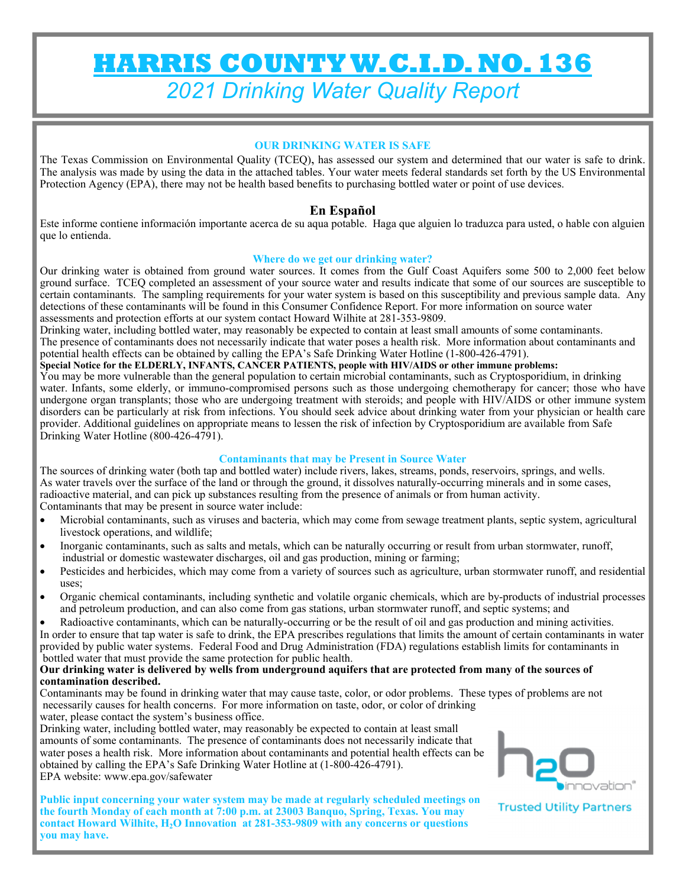# **HARRIS COUNTY W.C.I.D. NO. 136**  *2021 Drinking Water Quality Report*

#### **OUR DRINKING WATER IS SAFE**

The Texas Commission on Environmental Quality (TCEQ), has assessed our system and determined that our water is safe to drink. The analysis was made by using the data in the attached tables. Your water meets federal standards set forth by the US Environmental Protection Agency (EPA), there may not be health based benefits to purchasing bottled water or point of use devices.

### **En Español**

Este informe contiene información importante acerca de su aqua potable. Haga que alguien lo traduzca para usted, o hable con alguien que lo entienda.

#### **Where do we get our drinking water?**

Our drinking water is obtained from ground water sources. It comes from the Gulf Coast Aquifers some 500 to 2,000 feet below ground surface. TCEQ completed an assessment of your source water and results indicate that some of our sources are susceptible to certain contaminants. The sampling requirements for your water system is based on this susceptibility and previous sample data. Any detections of these contaminants will be found in this Consumer Confidence Report. For more information on source water assessments and protection efforts at our system contact Howard Wilhite at 281-353-9809.

Drinking water, including bottled water, may reasonably be expected to contain at least small amounts of some contaminants. The presence of contaminants does not necessarily indicate that water poses a health risk. More information about contaminants and potential health effects can be obtained by calling the EPA's Safe Drinking Water Hotline (1-800-426-4791).

#### **Special Notice for the ELDERLY, INFANTS, CANCER PATIENTS, people with HIV/AIDS or other immune problems:**

You may be more vulnerable than the general population to certain microbial contaminants, such as Cryptosporidium, in drinking water. Infants, some elderly, or immuno-compromised persons such as those undergoing chemotherapy for cancer; those who have undergone organ transplants; those who are undergoing treatment with steroids; and people with HIV/AIDS or other immune system disorders can be particularly at risk from infections. You should seek advice about drinking water from your physician or health care provider. Additional guidelines on appropriate means to lessen the risk of infection by Cryptosporidium are available from Safe Drinking Water Hotline (800-426-4791).

#### **Contaminants that may be Present in Source Water**

The sources of drinking water (both tap and bottled water) include rivers, lakes, streams, ponds, reservoirs, springs, and wells. As water travels over the surface of the land or through the ground, it dissolves naturally-occurring minerals and in some cases, radioactive material, and can pick up substances resulting from the presence of animals or from human activity. Contaminants that may be present in source water include:

- Microbial contaminants, such as viruses and bacteria, which may come from sewage treatment plants, septic system, agricultural livestock operations, and wildlife;
- Inorganic contaminants, such as salts and metals, which can be naturally occurring or result from urban stormwater, runoff, industrial or domestic wastewater discharges, oil and gas production, mining or farming;
- Pesticides and herbicides, which may come from a variety of sources such as agriculture, urban stormwater runoff, and residential uses;
- Organic chemical contaminants, including synthetic and volatile organic chemicals, which are by-products of industrial processes and petroleum production, and can also come from gas stations, urban stormwater runoff, and septic systems; and

 Radioactive contaminants, which can be naturally-occurring or be the result of oil and gas production and mining activities. In order to ensure that tap water is safe to drink, the EPA prescribes regulations that limits the amount of certain contaminants in water provided by public water systems. Federal Food and Drug Administration (FDA) regulations establish limits for contaminants in bottled water that must provide the same protection for public health.

#### **Our drinking water is delivered by wells from underground aquifers that are protected from many of the sources of contamination described.**

Contaminants may be found in drinking water that may cause taste, color, or odor problems. These types of problems are not necessarily causes for health concerns. For more information on taste, odor, or color of drinking water, please contact the system's business office.

Drinking water, including bottled water, may reasonably be expected to contain at least small amounts of some contaminants. The presence of contaminants does not necessarily indicate that water poses a health risk. More information about contaminants and potential health effects can be obtained by calling the EPA's Safe Drinking Water Hotline at (1-800-426-4791). EPA website: www.epa.gov/safewater

**Public input concerning your water system may be made at regularly scheduled meetings on the fourth Monday of each month at 7:00 p.m. at 23003 Banquo, Spring, Texas. You may contact Howard Wilhite, H2O Innovation at 281-353-9809 with any concerns or questions you may have.** 



**Trusted Utility Partners**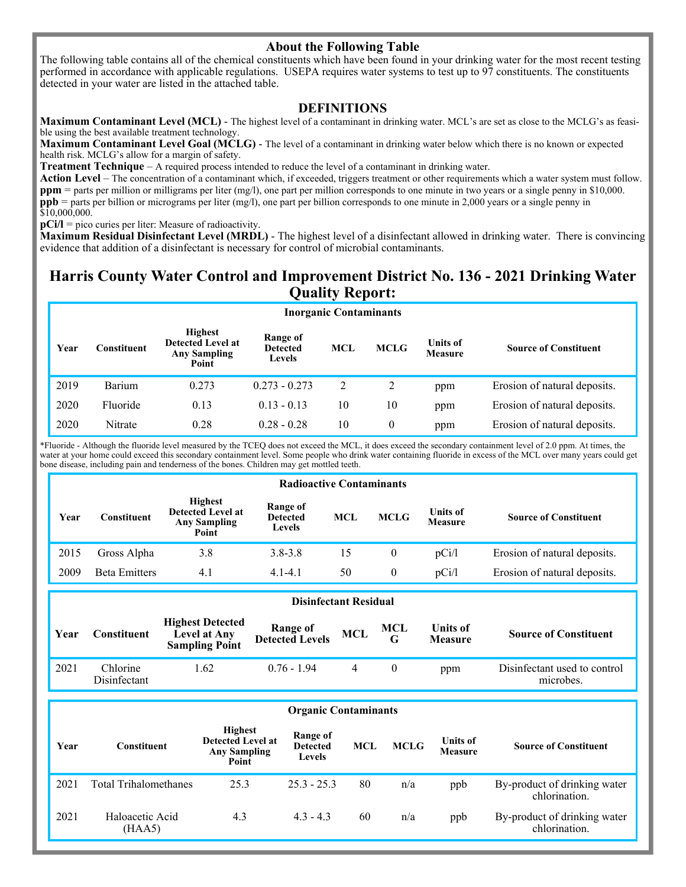### **About the Following Table**

The following table contains all of the chemical constituents which have been found in your drinking water for the most recent testing performed in accordance with applicable regulations. USEPA requires water systems to test up to 97 constituents. The constituents detected in your water are listed in the attached table.

#### **DEFINITIONS**

**Maximum Contaminant Level (MCL)** - The highest level of a contaminant in drinking water. MCL's are set as close to the MCLG's as feasible using the best available treatment technology.

**Maximum Contaminant Level Goal (MCLG)** - The level of a contaminant in drinking water below which there is no known or expected health risk. MCLG's allow for a margin of safety.

**Treatment Technique** – A required process intended to reduce the level of a contaminant in drinking water.

**Action Level** – The concentration of a contaminant which, if exceeded, triggers treatment or other requirements which a water system must follow. **ppm** = parts per million or milligrams per liter (mg/l), one part per million corresponds to one minute in two years or a single penny in \$10,000. **ppb** = parts per billion or micrograms per liter (mg/l), one part per billion corresponds to one minute in 2,000 years or a single penny in \$10,000,000.

**pCi/l** = pico curies per liter: Measure of radioactivity.

**Maximum Residual Disinfectant Level (MRDL)** - The highest level of a disinfectant allowed in drinking water. There is convincing evidence that addition of a disinfectant is necessary for control of microbial contaminants.

## **Harris County Water Control and Improvement District No. 136 - 2021 Drinking Water Quality Report:**

|      | <b>Inorganic Contaminants</b> |                                                                            |                                       |            |             |                            |                              |  |
|------|-------------------------------|----------------------------------------------------------------------------|---------------------------------------|------------|-------------|----------------------------|------------------------------|--|
| Year | Constituent                   | <b>Highest</b><br><b>Detected Level at</b><br><b>Any Sampling</b><br>Point | Range of<br><b>Detected</b><br>Levels | <b>MCL</b> | <b>MCLG</b> | <b>Units of</b><br>Measure | <b>Source of Constituent</b> |  |
| 2019 | Barium                        | 0.273                                                                      | $0.273 - 0.273$                       | 2          | 2           | ppm                        | Erosion of natural deposits. |  |
| 2020 | Fluoride                      | 0.13                                                                       | $0.13 - 0.13$                         | 10         | 10          | ppm                        | Erosion of natural deposits. |  |
| 2020 | Nitrate                       | 0.28                                                                       | $0.28 - 0.28$                         | 10         | $\theta$    | ppm                        | Erosion of natural deposits. |  |

\*Fluoride - Although the fluoride level measured by the TCEQ does not exceed the MCL, it does exceed the secondary containment level of 2.0 ppm. At times, the water at your home could exceed this secondary containment level. Some people who drink water containing fluoride in excess of the MCL over many years could get bone disease, including pain and tenderness of the bones. Children may get mottled teeth.

|      | <b>Radioactive Contaminants</b> |                                                                            |                                              |     |             |                                   |                              |
|------|---------------------------------|----------------------------------------------------------------------------|----------------------------------------------|-----|-------------|-----------------------------------|------------------------------|
| Year | Constituent-                    | <b>Highest</b><br><b>Detected Level at</b><br><b>Any Sampling</b><br>Point | Range of<br><b>Detected</b><br><b>Levels</b> | MCL | <b>MCLG</b> | <b>Units of</b><br><b>Measure</b> | <b>Source of Constituent</b> |
| 2015 | Gross Alpha                     | 3.8                                                                        | $3.8 - 3.8$                                  | 15  | $\theta$    | pCi/l                             | Erosion of natural deposits. |
| 2009 | <b>Beta Emitters</b>            | 4.1                                                                        | $4.1 - 4.1$                                  | 50  | $\theta$    | pCi/l                             | Erosion of natural deposits. |

|      | <b>Disinfectant Residual</b> |                                                                  |                             |            |                 |                                   |                                           |  |
|------|------------------------------|------------------------------------------------------------------|-----------------------------|------------|-----------------|-----------------------------------|-------------------------------------------|--|
| Year | Constituent                  | <b>Highest Detected</b><br>Level at Any<br><b>Sampling Point</b> | Range of<br>Detected Levels | <b>MCL</b> | <b>MCL</b><br>G | <b>Units of</b><br><b>Measure</b> | <b>Source of Constituent</b>              |  |
| 2021 | Chlorine<br>Disinfectant     | 1.62                                                             | $0.76 - 1.94$               |            |                 | ppm                               | Disinfectant used to control<br>microbes. |  |

#### **Year Constituent Highest Detected Level at Any Sampling Point Range of Detected Levels MCL MCLG Units of Measure Source of Constituent**  2021 Total Trihalomethanes 25.3 25.3 - 25.3 80 n/a ppb By-product of drinking water chlorination. **Organic Contaminants**  2021 Haloacetic Acid (HAA5) 4.3 4.3 - 4.3 60 n/a ppb By-product of drinking water chlorination.